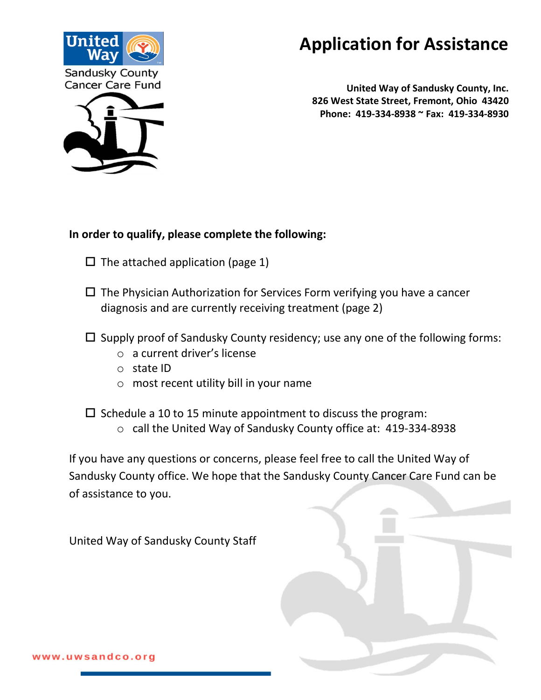

# **Application for Assistance**

 **United Way of Sandusky County, Inc. 826 West State Street, Fremont, Ohio 43420 Phone: 419-334-8938 ~ Fax: 419-334-8930**



- $\Box$  The attached application (page 1)
- $\Box$  The Physician Authorization for Services Form verifying you have a cancer diagnosis and are currently receiving treatment (page 2)
- $\square$  Supply proof of Sandusky County residency; use any one of the following forms:
	- o a current driver's license
	- o state ID
	- o most recent utility bill in your name

 $\square$  Schedule a 10 to 15 minute appointment to discuss the program:

o call the United Way of Sandusky County office at: 419-334-8938

If you have any questions or concerns, please feel free to call the United Way of Sandusky County office. We hope that the Sandusky County Cancer Care Fund can be of assistance to you.

United Way of Sandusky County Staff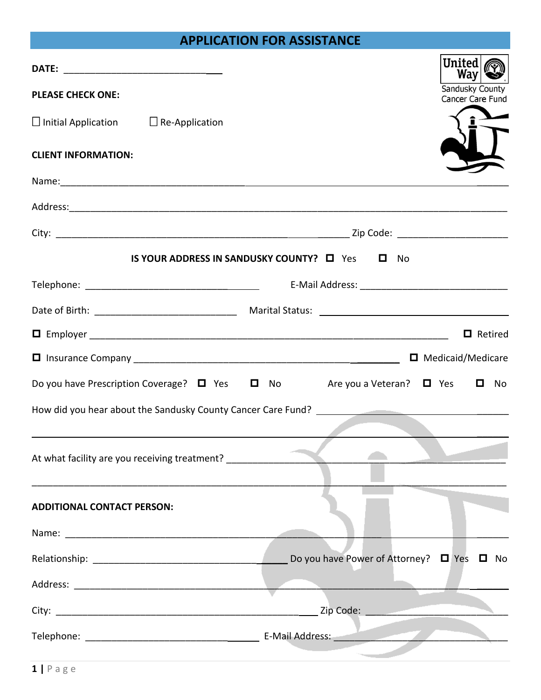## **APPLICATION FOR ASSISTANCE**

| <b>PLEASE CHECK ONE:</b>                                                                                       | United<br>Way<br>Sandusky County<br>Cancer Care Fund                                            |
|----------------------------------------------------------------------------------------------------------------|-------------------------------------------------------------------------------------------------|
| $\Box$ Initial Application $\Box$ Re-Application                                                               |                                                                                                 |
| <b>CLIENT INFORMATION:</b>                                                                                     |                                                                                                 |
| Name: 1988 - 1988 - 1988 - 1988 - 1988 - 1988 - 1988 - 1988 - 1988 - 1988 - 1988 - 1988 - 1988 - 1988 - 1988 - |                                                                                                 |
|                                                                                                                |                                                                                                 |
|                                                                                                                |                                                                                                 |
|                                                                                                                | <b>IS YOUR ADDRESS IN SANDUSKY COUNTY?</b> $\Box$ Yes $\Box$ No                                 |
|                                                                                                                |                                                                                                 |
|                                                                                                                |                                                                                                 |
|                                                                                                                | $\Box$ Retired                                                                                  |
|                                                                                                                |                                                                                                 |
|                                                                                                                | Do you have Prescription Coverage? $\Box$ Yes $\Box$ No Are you a Veteran? $\Box$ Yes $\Box$ No |
|                                                                                                                | How did you hear about the Sandusky County Cancer Care Fund?                                    |
|                                                                                                                |                                                                                                 |
| At what facility are you receiving treatment? __________________________________                               |                                                                                                 |
| <b>ADDITIONAL CONTACT PERSON:</b>                                                                              |                                                                                                 |
|                                                                                                                |                                                                                                 |
|                                                                                                                | Do you have Power of Attorney? $\Box$ Yes $\Box$<br>No                                          |
|                                                                                                                |                                                                                                 |
|                                                                                                                |                                                                                                 |
|                                                                                                                |                                                                                                 |